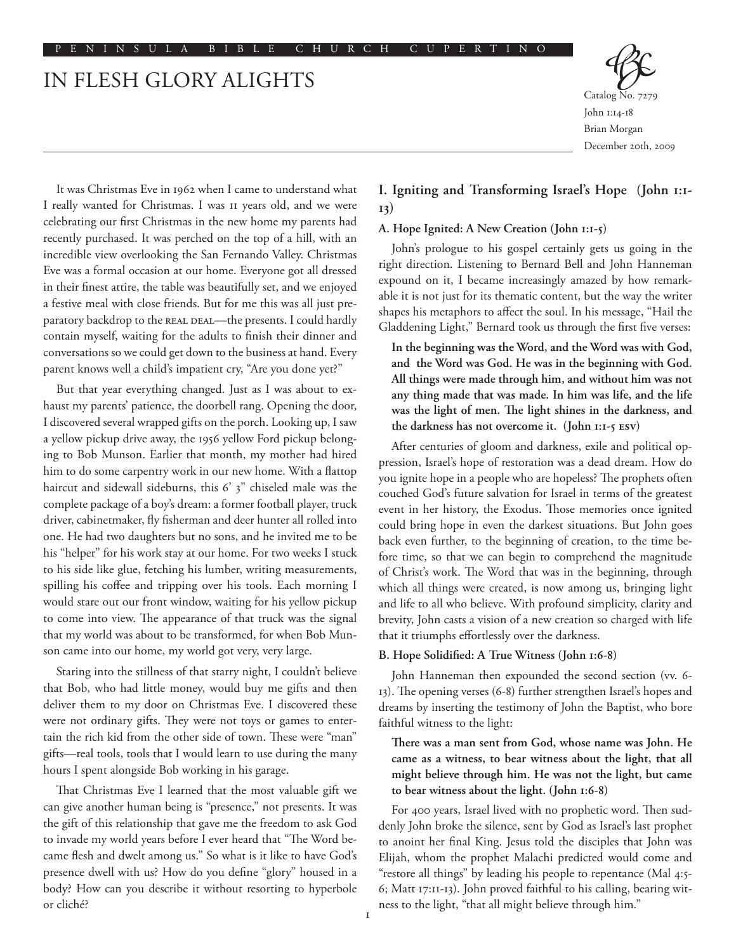# IN FLESH GLORY ALIGHTS



John 1:14-18 Brian Morgan December 20th, 2009

It was Christmas Eve in 1962 when I came to understand what I really wanted for Christmas. I was 11 years old, and we were celebrating our first Christmas in the new home my parents had recently purchased. It was perched on the top of a hill, with an incredible view overlooking the San Fernando Valley. Christmas Eve was a formal occasion at our home. Everyone got all dressed in their finest attire, the table was beautifully set, and we enjoyed a festive meal with close friends. But for me this was all just preparatory backdrop to the REAL DEAL-the presents. I could hardly contain myself, waiting for the adults to finish their dinner and conversations so we could get down to the business at hand. Every parent knows well a child's impatient cry, "Are you done yet?"

But that year everything changed. Just as I was about to exhaust my parents' patience, the doorbell rang. Opening the door, I discovered several wrapped gifts on the porch. Looking up, I saw a yellow pickup drive away, the 1956 yellow Ford pickup belonging to Bob Munson. Earlier that month, my mother had hired him to do some carpentry work in our new home. With a flattop haircut and sidewall sideburns, this 6' 3" chiseled male was the complete package of a boy's dream: a former football player, truck driver, cabinetmaker, fly fisherman and deer hunter all rolled into one. He had two daughters but no sons, and he invited me to be his "helper" for his work stay at our home. For two weeks I stuck to his side like glue, fetching his lumber, writing measurements, spilling his coffee and tripping over his tools. Each morning I would stare out our front window, waiting for his yellow pickup to come into view. The appearance of that truck was the signal that my world was about to be transformed, for when Bob Munson came into our home, my world got very, very large.

Staring into the stillness of that starry night, I couldn't believe that Bob, who had little money, would buy me gifts and then deliver them to my door on Christmas Eve. I discovered these were not ordinary gifts. They were not toys or games to entertain the rich kid from the other side of town. These were "man" gifts––real tools, tools that I would learn to use during the many hours I spent alongside Bob working in his garage.

That Christmas Eve I learned that the most valuable gift we can give another human being is "presence," not presents. It was the gift of this relationship that gave me the freedom to ask God to invade my world years before I ever heard that "The Word became flesh and dwelt among us." So what is it like to have God's presence dwell with us? How do you define "glory" housed in a body? How can you describe it without resorting to hyperbole or cliché?

## **I. Igniting and Transforming Israel's Hope (John 1:1- 13)**

## **A. Hope Ignited: A New Creation (John 1:1-5)**

John's prologue to his gospel certainly gets us going in the right direction. Listening to Bernard Bell and John Hanneman expound on it, I became increasingly amazed by how remarkable it is not just for its thematic content, but the way the writer shapes his metaphors to affect the soul. In his message, "Hail the Gladdening Light," Bernard took us through the first five verses:

**In the beginning was the Word, and the Word was with God, and the Word was God. He was in the beginning with God. All things were made through him, and without him was not any thing made that was made. In him was life, and the life was the light of men. The light shines in the darkness, and the darkness has not overcome it. (John 1:1-5 esv)**

After centuries of gloom and darkness, exile and political oppression, Israel's hope of restoration was a dead dream. How do you ignite hope in a people who are hopeless? The prophets often couched God's future salvation for Israel in terms of the greatest event in her history, the Exodus. Those memories once ignited could bring hope in even the darkest situations. But John goes back even further, to the beginning of creation, to the time before time, so that we can begin to comprehend the magnitude of Christ's work. The Word that was in the beginning, through which all things were created, is now among us, bringing light and life to all who believe. With profound simplicity, clarity and brevity, John casts a vision of a new creation so charged with life that it triumphs effortlessly over the darkness.

### **B. Hope Solidified: A True Witness (John 1:6-8)**

John Hanneman then expounded the second section (vv. 6- 13). The opening verses (6-8) further strengthen Israel's hopes and dreams by inserting the testimony of John the Baptist, who bore faithful witness to the light:

**There was a man sent from God, whose name was John. He came as a witness, to bear witness about the light, that all might believe through him. He was not the light, but came to bear witness about the light. (John 1:6-8)**

For 400 years, Israel lived with no prophetic word. Then suddenly John broke the silence, sent by God as Israel's last prophet to anoint her final King. Jesus told the disciples that John was Elijah, whom the prophet Malachi predicted would come and "restore all things" by leading his people to repentance (Mal 4:5- 6; Matt 17:11-13). John proved faithful to his calling, bearing witness to the light, "that all might believe through him."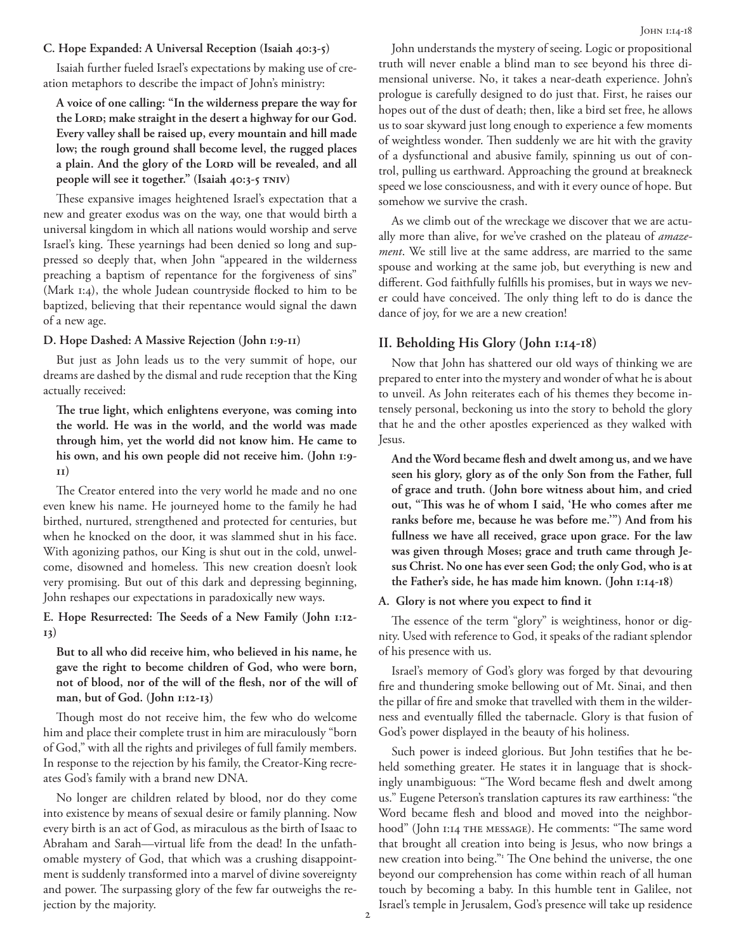#### **C. Hope Expanded: A Universal Reception (Isaiah 40:3-5)**

Isaiah further fueled Israel's expectations by making use of creation metaphors to describe the impact of John's ministry:

**A voice of one calling: "In the wilderness prepare the way for**  the LORD; make straight in the desert a highway for our God. **Every valley shall be raised up, every mountain and hill made low; the rough ground shall become level, the rugged places**  a plain. And the glory of the LORD will be revealed, and all **people will see it together." (Isaiah 40:3-5 tniv)**

These expansive images heightened Israel's expectation that a new and greater exodus was on the way, one that would birth a universal kingdom in which all nations would worship and serve Israel's king. These yearnings had been denied so long and suppressed so deeply that, when John "appeared in the wilderness preaching a baptism of repentance for the forgiveness of sins" (Mark 1:4), the whole Judean countryside flocked to him to be baptized, believing that their repentance would signal the dawn of a new age.

#### **D. Hope Dashed: A Massive Rejection (John 1:9-11)**

But just as John leads us to the very summit of hope, our dreams are dashed by the dismal and rude reception that the King actually received:

**The true light, which enlightens everyone, was coming into the world. He was in the world, and the world was made through him, yet the world did not know him. He came to his own, and his own people did not receive him. (John 1:9- 11)**

The Creator entered into the very world he made and no one even knew his name. He journeyed home to the family he had birthed, nurtured, strengthened and protected for centuries, but when he knocked on the door, it was slammed shut in his face. With agonizing pathos, our King is shut out in the cold, unwelcome, disowned and homeless. This new creation doesn't look very promising. But out of this dark and depressing beginning, John reshapes our expectations in paradoxically new ways.

**E. Hope Resurrected: The Seeds of a New Family (John 1:12- 13)**

**But to all who did receive him, who believed in his name, he gave the right to become children of God, who were born, not of blood, nor of the will of the flesh, nor of the will of man, but of God. (John 1:12-13)**

Though most do not receive him, the few who do welcome him and place their complete trust in him are miraculously "born of God," with all the rights and privileges of full family members. In response to the rejection by his family, the Creator-King recreates God's family with a brand new DNA.

No longer are children related by blood, nor do they come into existence by means of sexual desire or family planning. Now every birth is an act of God, as miraculous as the birth of Isaac to Abraham and Sarah––virtual life from the dead! In the unfathomable mystery of God, that which was a crushing disappointment is suddenly transformed into a marvel of divine sovereignty and power. The surpassing glory of the few far outweighs the rejection by the majority.

John understands the mystery of seeing. Logic or propositional truth will never enable a blind man to see beyond his three dimensional universe. No, it takes a near-death experience. John's prologue is carefully designed to do just that. First, he raises our hopes out of the dust of death; then, like a bird set free, he allows us to soar skyward just long enough to experience a few moments of weightless wonder. Then suddenly we are hit with the gravity of a dysfunctional and abusive family, spinning us out of control, pulling us earthward. Approaching the ground at breakneck speed we lose consciousness, and with it every ounce of hope. But somehow we survive the crash.

As we climb out of the wreckage we discover that we are actually more than alive, for we've crashed on the plateau of *amazement*. We still live at the same address, are married to the same spouse and working at the same job, but everything is new and different. God faithfully fulfills his promises, but in ways we never could have conceived. The only thing left to do is dance the dance of joy, for we are a new creation!

## **II. Beholding His Glory (John 1:14-18)**

Now that John has shattered our old ways of thinking we are prepared to enter into the mystery and wonder of what he is about to unveil. As John reiterates each of his themes they become intensely personal, beckoning us into the story to behold the glory that he and the other apostles experienced as they walked with Jesus.

**And the Word became flesh and dwelt among us, and we have seen his glory, glory as of the only Son from the Father, full of grace and truth. (John bore witness about him, and cried out, "This was he of whom I said, 'He who comes after me ranks before me, because he was before me.'") And from his fullness we have all received, grace upon grace. For the law was given through Moses; grace and truth came through Jesus Christ. No one has ever seen God; the only God, who is at the Father's side, he has made him known. (John 1:14-18)**

## **A. Glory is not where you expect to find it**

The essence of the term "glory" is weightiness, honor or dignity. Used with reference to God, it speaks of the radiant splendor of his presence with us.

Israel's memory of God's glory was forged by that devouring fire and thundering smoke bellowing out of Mt. Sinai, and then the pillar of fire and smoke that travelled with them in the wilderness and eventually filled the tabernacle. Glory is that fusion of God's power displayed in the beauty of his holiness.

Such power is indeed glorious. But John testifies that he beheld something greater. He states it in language that is shockingly unambiguous: "The Word became flesh and dwelt among us." Eugene Peterson's translation captures its raw earthiness: "the Word became flesh and blood and moved into the neighborhood" (John 1:14 THE MESSAGE). He comments: "The same word that brought all creation into being is Jesus, who now brings a new creation into being." The One behind the universe, the one beyond our comprehension has come within reach of all human touch by becoming a baby. In this humble tent in Galilee, not Israel's temple in Jerusalem, God's presence will take up residence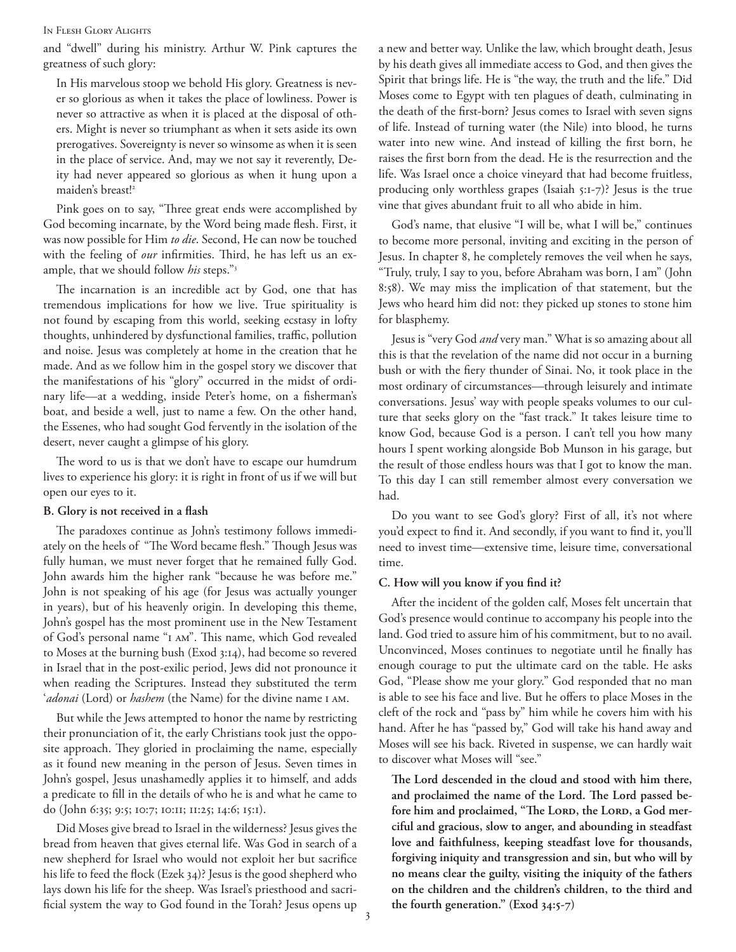#### In Flesh Glory Alights

and "dwell" during his ministry. Arthur W. Pink captures the greatness of such glory:

In His marvelous stoop we behold His glory. Greatness is never so glorious as when it takes the place of lowliness. Power is never so attractive as when it is placed at the disposal of others. Might is never so triumphant as when it sets aside its own prerogatives. Sovereignty is never so winsome as when it is seen in the place of service. And, may we not say it reverently, Deity had never appeared so glorious as when it hung upon a maiden's breast!<sup>2</sup>

Pink goes on to say, "Three great ends were accomplished by God becoming incarnate, by the Word being made flesh. First, it was now possible for Him *to die*. Second, He can now be touched with the feeling of *our* infirmities. Third, he has left us an example, that we should follow *his* steps."3

The incarnation is an incredible act by God, one that has tremendous implications for how we live. True spirituality is not found by escaping from this world, seeking ecstasy in lofty thoughts, unhindered by dysfunctional families, traffic, pollution and noise. Jesus was completely at home in the creation that he made. And as we follow him in the gospel story we discover that the manifestations of his "glory" occurred in the midst of ordinary life––at a wedding, inside Peter's home, on a fisherman's boat, and beside a well, just to name a few. On the other hand, the Essenes, who had sought God fervently in the isolation of the desert, never caught a glimpse of his glory.

The word to us is that we don't have to escape our humdrum lives to experience his glory: it is right in front of us if we will but open our eyes to it.

#### **B. Glory is not received in a flash**

The paradoxes continue as John's testimony follows immediately on the heels of "The Word became flesh." Though Jesus was fully human, we must never forget that he remained fully God. John awards him the higher rank "because he was before me." John is not speaking of his age (for Jesus was actually younger in years), but of his heavenly origin. In developing this theme, John's gospel has the most prominent use in the New Testament of God's personal name "I AM". This name, which God revealed to Moses at the burning bush (Exod 3:14), had become so revered in Israel that in the post-exilic period, Jews did not pronounce it when reading the Scriptures. Instead they substituted the term '*adonai* (Lord) or *hashem* (the Name) for the divine name i am.

But while the Jews attempted to honor the name by restricting their pronunciation of it, the early Christians took just the opposite approach. They gloried in proclaiming the name, especially as it found new meaning in the person of Jesus. Seven times in John's gospel, Jesus unashamedly applies it to himself, and adds a predicate to fill in the details of who he is and what he came to do (John 6:35; 9:5; 10:7; 10:11; 11:25; 14:6; 15:1).

Did Moses give bread to Israel in the wilderness? Jesus gives the bread from heaven that gives eternal life. Was God in search of a new shepherd for Israel who would not exploit her but sacrifice his life to feed the flock (Ezek 34)? Jesus is the good shepherd who lays down his life for the sheep. Was Israel's priesthood and sacrificial system the way to God found in the Torah? Jesus opens up a new and better way. Unlike the law, which brought death, Jesus by his death gives all immediate access to God, and then gives the Spirit that brings life. He is "the way, the truth and the life." Did Moses come to Egypt with ten plagues of death, culminating in the death of the first-born? Jesus comes to Israel with seven signs of life. Instead of turning water (the Nile) into blood, he turns water into new wine. And instead of killing the first born, he raises the first born from the dead. He is the resurrection and the life. Was Israel once a choice vineyard that had become fruitless, producing only worthless grapes (Isaiah 5:1-7)? Jesus is the true vine that gives abundant fruit to all who abide in him.

God's name, that elusive "I will be, what I will be," continues to become more personal, inviting and exciting in the person of Jesus. In chapter 8, he completely removes the veil when he says, "Truly, truly, I say to you, before Abraham was born, I am" (John 8:58). We may miss the implication of that statement, but the Jews who heard him did not: they picked up stones to stone him for blasphemy.

Jesus is "very God *and* very man." What is so amazing about all this is that the revelation of the name did not occur in a burning bush or with the fiery thunder of Sinai. No, it took place in the most ordinary of circumstances––through leisurely and intimate conversations. Jesus' way with people speaks volumes to our culture that seeks glory on the "fast track." It takes leisure time to know God, because God is a person. I can't tell you how many hours I spent working alongside Bob Munson in his garage, but the result of those endless hours was that I got to know the man. To this day I can still remember almost every conversation we had.

Do you want to see God's glory? First of all, it's not where you'd expect to find it. And secondly, if you want to find it, you'll need to invest time––extensive time, leisure time, conversational time.

#### **C. How will you know if you find it?**

After the incident of the golden calf, Moses felt uncertain that God's presence would continue to accompany his people into the land. God tried to assure him of his commitment, but to no avail. Unconvinced, Moses continues to negotiate until he finally has enough courage to put the ultimate card on the table. He asks God, "Please show me your glory." God responded that no man is able to see his face and live. But he offers to place Moses in the cleft of the rock and "pass by" him while he covers him with his hand. After he has "passed by," God will take his hand away and Moses will see his back. Riveted in suspense, we can hardly wait to discover what Moses will "see."

**The Lord descended in the cloud and stood with him there, and proclaimed the name of the Lord. The Lord passed be**fore him and proclaimed, "The LORD, the LORD, a God mer**ciful and gracious, slow to anger, and abounding in steadfast love and faithfulness, keeping steadfast love for thousands, forgiving iniquity and transgression and sin, but who will by no means clear the guilty, visiting the iniquity of the fathers on the children and the children's children, to the third and the fourth generation." (Exod 34:5-7)**